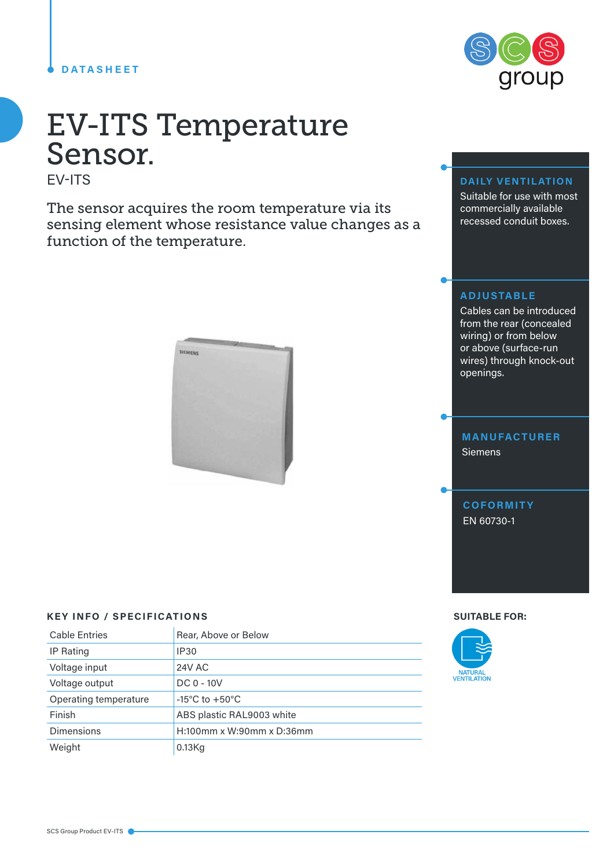#### **DATASHEET**

# EV-ITS Temperature Sensor.

EV-ITS

The sensor acquires the room temperature via its sensing element whose resistance value changes as a function of the temperature.



#### **KEY INFO / SPECIFICATIONS SUITABLE FOR:**

| <b>Cable Entries</b>  | Rear, Above or Below               |
|-----------------------|------------------------------------|
| IP Rating             | <b>IP30</b>                        |
| Voltage input         | 24V AC                             |
| Voltage output        | $DC 0 - 10V$                       |
| Operating temperature | $-15^{\circ}$ C to $+50^{\circ}$ C |
| Finish                | ABS plastic RAL9003 white          |
| <b>Dimensions</b>     | H:100mm x W:90mm x D:36mm          |
| Weight                | $0.13$ Kg                          |



### **DAILY VENTILATION**

Suitable for use with most commercially available recessed conduit boxes.

#### **ADJUSTABLE**

Cables can be introduced from the rear (concealed wiring) or from below or above (surface-run wires) through knock-out openings.

## **MANUFACTURER Siemens**

**COFORMITY** EN 60730-1